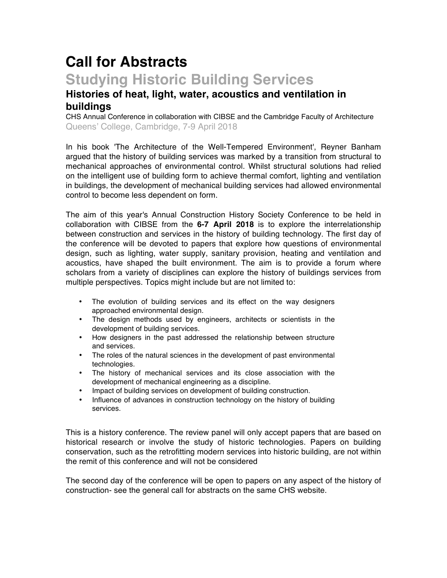# **Call for Abstracts Studying Historic Building Services**

# **Histories of heat, light, water, acoustics and ventilation in buildings**

CHS Annual Conference in collaboration with CIBSE and the Cambridge Faculty of Architecture Queens' College, Cambridge, 7-9 April 2018

In his book 'The Architecture of the Well-Tempered Environment', Reyner Banham argued that the history of building services was marked by a transition from structural to mechanical approaches of environmental control. Whilst structural solutions had relied on the intelligent use of building form to achieve thermal comfort, lighting and ventilation in buildings, the development of mechanical building services had allowed environmental control to become less dependent on form.

The aim of this year's Annual Construction History Society Conference to be held in collaboration with CIBSE from the **6-7 April 2018** is to explore the interrelationship between construction and services in the history of building technology. The first day of the conference will be devoted to papers that explore how questions of environmental design, such as lighting, water supply, sanitary provision, heating and ventilation and acoustics, have shaped the built environment. The aim is to provide a forum where scholars from a variety of disciplines can explore the history of buildings services from multiple perspectives. Topics might include but are not limited to:

- The evolution of building services and its effect on the way designers approached environmental design.
- The design methods used by engineers, architects or scientists in the development of building services.
- How designers in the past addressed the relationship between structure and services.
- The roles of the natural sciences in the development of past environmental technologies.
- The history of mechanical services and its close association with the development of mechanical engineering as a discipline.
- Impact of building services on development of building construction.
- Influence of advances in construction technology on the history of building services.

This is a history conference. The review panel will only accept papers that are based on historical research or involve the study of historic technologies. Papers on building conservation, such as the retrofitting modern services into historic building, are not within the remit of this conference and will not be considered

The second day of the conference will be open to papers on any aspect of the history of construction- see the general call for abstracts on the same CHS website.